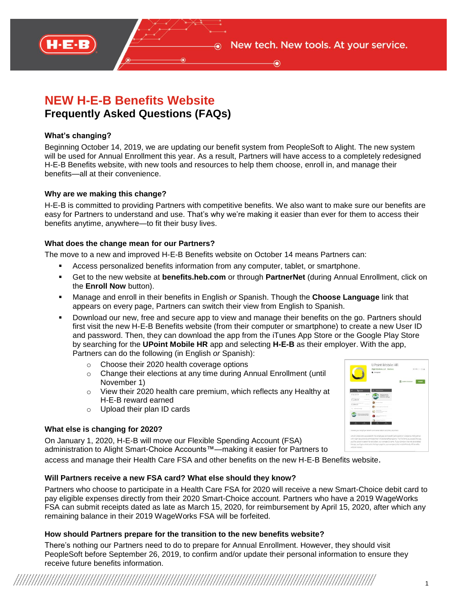

# **NEW H-E-B Benefits Website Frequently Asked Questions (FAQs)**

## **What's changing?**

Beginning October 14, 2019, we are updating our benefit system from PeopleSoft to Alight. The new system will be used for Annual Enrollment this year. As a result, Partners will have access to a completely redesigned H-E-B Benefits website, with new tools and resources to help them choose, enroll in, and manage their benefits—all at their convenience.

#### **Why are we making this change?**

H-E-B is committed to providing Partners with competitive benefits. We also want to make sure our benefits are easy for Partners to understand and use. That's why we're making it easier than ever for them to access their benefits anytime, anywhere—to fit their busy lives.

## **What does the change mean for our Partners?**

The move to a new and improved H-E-B Benefits website on October 14 means Partners can:

- Access personalized benefits information from any computer, tablet, or smartphone.
- Get to the new website at **benefits.heb.com** or through **PartnerNet** (during Annual Enrollment, click on the **Enroll Now** button).
- Manage and enroll in their benefits in English *or* Spanish. Though the **Choose Language** link that appears on every page, Partners can switch their view from English to Spanish.
- Download our new, free and secure app to view and manage their benefits on the go. Partners should first visit the new H-E-B Benefits website (from their computer or smartphone) to create a new User ID and password. Then, they can download the app from the iTunes App Store or the Google Play Store by searching for the **UPoint Mobile HR** app and selecting **H-E-B** as their employer. With the app, Partners can do the following (in English *or* Spanish):
	- o Choose their 2020 health coverage options
	- o Change their elections at any time during Annual Enrollment (until November 1)
	- o View their 2020 health care premium, which reflects any Healthy at H-E-B reward earned
	- o Upload their plan ID cards

# **What else is changing for 2020?**

On January 1, 2020, H-E-B will move our Flexible Spending Account (FSA) administration to Alight Smart-Choice Accounts™—making it easier for Partners to

access and manage their Health Care FSA and other benefits on the new H-E-B Benefits website.

# **Will Partners receive a new FSA card? What else should they know?**

Partners who choose to participate in a Health Care FSA for 2020 will receive a new Smart-Choice debit card to pay eligible expenses directly from their 2020 Smart-Choice account. Partners who have a 2019 WageWorks FSA can submit receipts dated as late as March 15, 2020, for reimbursement by April 15, 2020, after which any remaining balance in their 2019 WageWorks FSA will be forfeited.

#### **How should Partners prepare for the transition to the new benefits website?**

There's nothing our Partners need to do to prepare for Annual Enrollment. However, they should visit PeopleSoft before September 26, 2019, to confirm and/or update their personal information to ensure they receive future benefits information.